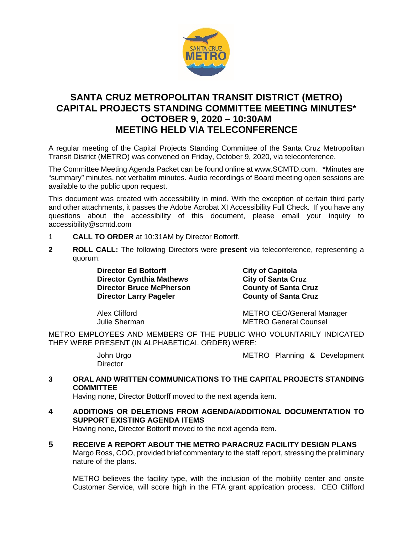

# **SANTA CRUZ METROPOLITAN TRANSIT DISTRICT (METRO) CAPITAL PROJECTS STANDING COMMITTEE MEETING MINUTES\* OCTOBER 9, 2020 – 10:30AM MEETING HELD VIA TELECONFERENCE**

A regular meeting of the Capital Projects Standing Committee of the Santa Cruz Metropolitan Transit District (METRO) was convened on Friday, October 9, 2020, via teleconference.

The Committee Meeting Agenda Packet can be found online at www.SCMTD.com. \*Minutes are "summary" minutes, not verbatim minutes. Audio recordings of Board meeting open sessions are available to the public upon request.

This document was created with accessibility in mind. With the exception of certain third party and other attachments, it passes the Adobe Acrobat XI Accessibility Full Check. If you have any questions about the accessibility of this document, please email your inquiry to accessibility@scmtd.com

- 1 **CALL TO ORDER** at 10:31AM by Director Bottorff.
- **2 ROLL CALL:** The following Directors were **present** via teleconference, representing a quorum:

**Director Ed Bottorff Consumed Server City of Capitola**<br> **Director Cynthia Mathews City of Santa Cruz Director Cynthia Mathews City of Santa Cruz<br>
Director Bruce McPherson County of Santa Cruz Director Bruce McPherson County of Santa Cruz Director Larry Pageler** 

Alex Clifford **METRO CEO/General Manager**<br>
Unlie Sherman METRO General Counsel **METRO General Counsel** 

METRO EMPLOYEES AND MEMBERS OF THE PUBLIC WHO VOLUNTARILY INDICATED THEY WERE PRESENT (IN ALPHABETICAL ORDER) WERE:

**Director** 

John Urgo METRO Planning & Development

**3 ORAL AND WRITTEN COMMUNICATIONS TO THE CAPITAL PROJECTS STANDING COMMITTEE**

Having none, Director Bottorff moved to the next agenda item.

- **4 ADDITIONS OR DELETIONS FROM AGENDA/ADDITIONAL DOCUMENTATION TO SUPPORT EXISTING AGENDA ITEMS**  Having none, Director Bottorff moved to the next agenda item.
- **5 RECEIVE A REPORT ABOUT THE METRO PARACRUZ FACILITY DESIGN PLANS**  Margo Ross, COO, provided brief commentary to the staff report, stressing the preliminary nature of the plans.

METRO believes the facility type, with the inclusion of the mobility center and onsite Customer Service, will score high in the FTA grant application process. CEO Clifford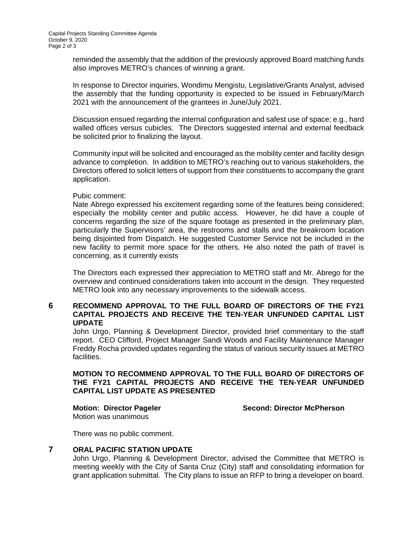reminded the assembly that the addition of the previously approved Board matching funds also improves METRO's chances of winning a grant.

In response to Director inquiries, Wondimu Mengistu, Legislative/Grants Analyst, advised the assembly that the funding opportunity is expected to be issued in February/March 2021 with the announcement of the grantees in June/July 2021.

Discussion ensued regarding the internal configuration and safest use of space; e.g., hard walled offices versus cubicles. The Directors suggested internal and external feedback be solicited prior to finalizing the layout.

Community input will be solicited and encouraged as the mobility center and facility design advance to completion. In addition to METRO's reaching out to various stakeholders, the Directors offered to solicit letters of support from their constituents to accompany the grant application.

#### Pubic comment:

Nate Abrego expressed his excitement regarding some of the features being considered; especially the mobility center and public access. However, he did have a couple of concerns regarding the size of the square footage as presented in the preliminary plan, particularly the Supervisors' area, the restrooms and stalls and the breakroom location being disjointed from Dispatch. He suggested Customer Service not be included in the new facility to permit more space for the others. He also noted the path of travel is concerning, as it currently exists

The Directors each expressed their appreciation to METRO staff and Mr. Abrego for the overview and continued considerations taken into account in the design. They requested METRO look into any necessary improvements to the sidewalk access.

#### **6 RECOMMEND APPROVAL TO THE FULL BOARD OF DIRECTORS OF THE FY21 CAPITAL PROJECTS AND RECEIVE THE TEN-YEAR UNFUNDED CAPITAL LIST UPDATE**

John Urgo, Planning & Development Director, provided brief commentary to the staff report. CEO Clifford, Project Manager Sandi Woods and Facility Maintenance Manager Freddy Rocha provided updates regarding the status of various security issues at METRO facilities.

### **MOTION TO RECOMMEND APPROVAL TO THE FULL BOARD OF DIRECTORS OF THE FY21 CAPITAL PROJECTS AND RECEIVE THE TEN-YEAR UNFUNDED CAPITAL LIST UPDATE AS PRESENTED**

**Motion: Director Pageler Second: Director McPherson**

Motion was unanimous

There was no public comment.

## **7 ORAL PACIFIC STATION UPDATE**

John Urgo, Planning & Development Director, advised the Committee that METRO is meeting weekly with the City of Santa Cruz (City) staff and consolidating information for grant application submittal. The City plans to issue an RFP to bring a developer on board.